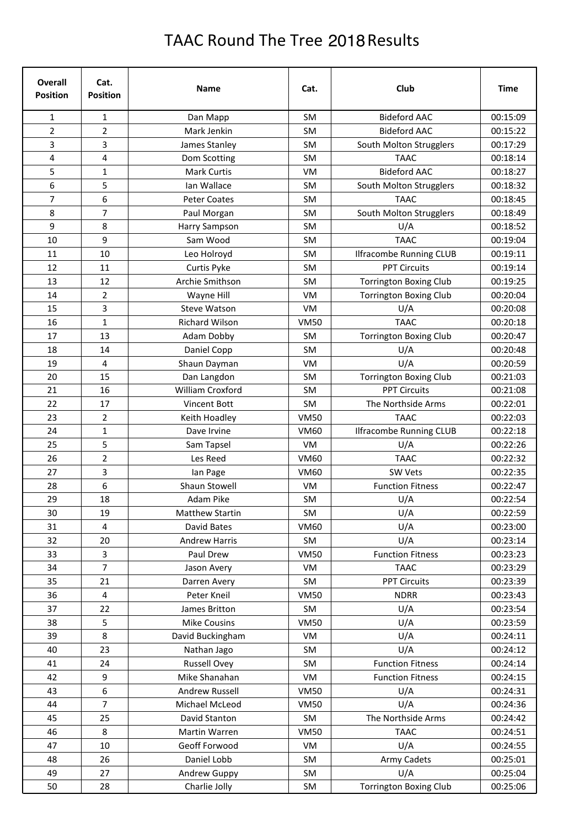## TAAC Round The Tree 2018 Results

| <b>Overall</b><br><b>Position</b> | Cat.<br><b>Position</b> | <b>Name</b>           | Cat.        | Club                           | <b>Time</b> |
|-----------------------------------|-------------------------|-----------------------|-------------|--------------------------------|-------------|
| 1                                 | $\mathbf 1$             | Dan Mapp              | SM          | <b>Bideford AAC</b>            | 00:15:09    |
| $\overline{2}$                    | $\overline{2}$          | Mark Jenkin           | <b>SM</b>   | <b>Bideford AAC</b>            | 00:15:22    |
| 3                                 | 3                       | James Stanley         | <b>SM</b>   | South Molton Strugglers        | 00:17:29    |
| 4                                 | 4                       | Dom Scotting          | <b>SM</b>   | <b>TAAC</b>                    | 00:18:14    |
| 5                                 | $\mathbf{1}$            | Mark Curtis           | <b>VM</b>   | <b>Bideford AAC</b>            | 00:18:27    |
| 6                                 | 5                       | Ian Wallace           | SM          | South Molton Strugglers        | 00:18:32    |
| 7                                 | 6                       | <b>Peter Coates</b>   | SM          | <b>TAAC</b>                    | 00:18:45    |
| 8                                 | $\overline{7}$          | Paul Morgan           | SM          | South Molton Strugglers        | 00:18:49    |
| 9                                 | 8                       | Harry Sampson         | SM          | U/A                            | 00:18:52    |
| 10                                | 9                       | Sam Wood              | SM          | <b>TAAC</b>                    | 00:19:04    |
| 11                                | 10                      | Leo Holroyd           | <b>SM</b>   | <b>Ilfracombe Running CLUB</b> | 00:19:11    |
| 12                                | 11                      | Curtis Pyke           | SM          | <b>PPT Circuits</b>            | 00:19:14    |
| 13                                | 12                      | Archie Smithson       | <b>SM</b>   | <b>Torrington Boxing Club</b>  | 00:19:25    |
| 14                                | $\overline{2}$          | Wayne Hill            | <b>VM</b>   | <b>Torrington Boxing Club</b>  | 00:20:04    |
| 15                                | 3                       | <b>Steve Watson</b>   | VM          | U/A                            | 00:20:08    |
| 16                                | $\mathbf{1}$            | <b>Richard Wilson</b> | <b>VM50</b> | <b>TAAC</b>                    | 00:20:18    |
| 17                                | 13                      | Adam Dobby            | SM          | <b>Torrington Boxing Club</b>  | 00:20:47    |
| 18                                | 14                      | Daniel Copp           | <b>SM</b>   | U/A                            | 00:20:48    |
| 19                                | $\overline{\mathbf{4}}$ | Shaun Dayman          | <b>VM</b>   | U/A                            | 00:20:59    |
| 20                                | 15                      | Dan Langdon           | <b>SM</b>   | <b>Torrington Boxing Club</b>  | 00:21:03    |
| 21                                | 16                      | William Croxford      | SM          | <b>PPT Circuits</b>            | 00:21:08    |
| 22                                | 17                      | Vincent Bott          | SM          | The Northside Arms             | 00:22:01    |
| 23                                | $\overline{2}$          | Keith Hoadley         | <b>VM50</b> | <b>TAAC</b>                    | 00:22:03    |
| 24                                | $\mathbf{1}$            | Dave Irvine           | <b>VM60</b> | <b>Ilfracombe Running CLUB</b> | 00:22:18    |
| 25                                | 5                       | Sam Tapsel            | <b>VM</b>   | U/A                            | 00:22:26    |
| 26                                | $\overline{2}$          | Les Reed              | <b>VM60</b> | <b>TAAC</b>                    | 00:22:32    |
| 27                                | 3                       | lan Page              | <b>VM60</b> | SW Vets                        | 00:22:35    |
| 28                                | 6                       | Shaun Stowell         | <b>VM</b>   | <b>Function Fitness</b>        | 00:22:47    |
| 29                                | 18                      | Adam Pike             | SM          | U/A                            | 00:22:54    |
| 30                                | 19                      | Matthew Startin       | SM          | U/A                            | 00:22:59    |
| 31                                | 4                       | David Bates           | VM60        | U/A                            | 00:23:00    |
| 32                                | 20                      | <b>Andrew Harris</b>  | SM          | U/A                            | 00:23:14    |
| 33                                | 3                       | Paul Drew             | <b>VM50</b> | <b>Function Fitness</b>        | 00:23:23    |
| 34                                | $\overline{7}$          | Jason Avery           | VM          | <b>TAAC</b>                    | 00:23:29    |
| 35                                | 21                      | Darren Avery          | SM          | <b>PPT Circuits</b>            | 00:23:39    |
| 36                                | 4                       | Peter Kneil           | <b>VM50</b> | <b>NDRR</b>                    | 00:23:43    |
| 37                                | 22                      | James Britton         | SM          | U/A                            | 00:23:54    |
| 38                                | 5                       | <b>Mike Cousins</b>   | <b>VM50</b> | U/A                            | 00:23:59    |
| 39                                | 8                       | David Buckingham      | VM          | U/A                            | 00:24:11    |
| 40                                | 23                      | Nathan Jago           | SM          | U/A                            | 00:24:12    |
| 41                                | 24                      | <b>Russell Ovey</b>   | SM          | <b>Function Fitness</b>        | 00:24:14    |
| 42                                | 9                       | Mike Shanahan         | VM          | <b>Function Fitness</b>        | 00:24:15    |
| 43                                | 6                       | Andrew Russell        | <b>VM50</b> | U/A                            | 00:24:31    |
| 44                                | $\overline{7}$          | Michael McLeod        | <b>VM50</b> | U/A                            | 00:24:36    |
|                                   |                         |                       | SM          | The Northside Arms             | 00:24:42    |
| 45<br>46                          | 25<br>8                 | David Stanton         |             | <b>TAAC</b>                    |             |
|                                   |                         | Martin Warren         | <b>VM50</b> |                                | 00:24:51    |
| 47                                | 10                      | Geoff Forwood         | VM          | U/A                            | 00:24:55    |
| 48                                | 26                      | Daniel Lobb           | SM          | Army Cadets                    | 00:25:01    |
| 49                                | 27                      | Andrew Guppy          | SM          | U/A                            | 00:25:04    |
| 50                                | 28                      | Charlie Jolly         | SM          | <b>Torrington Boxing Club</b>  | 00:25:06    |